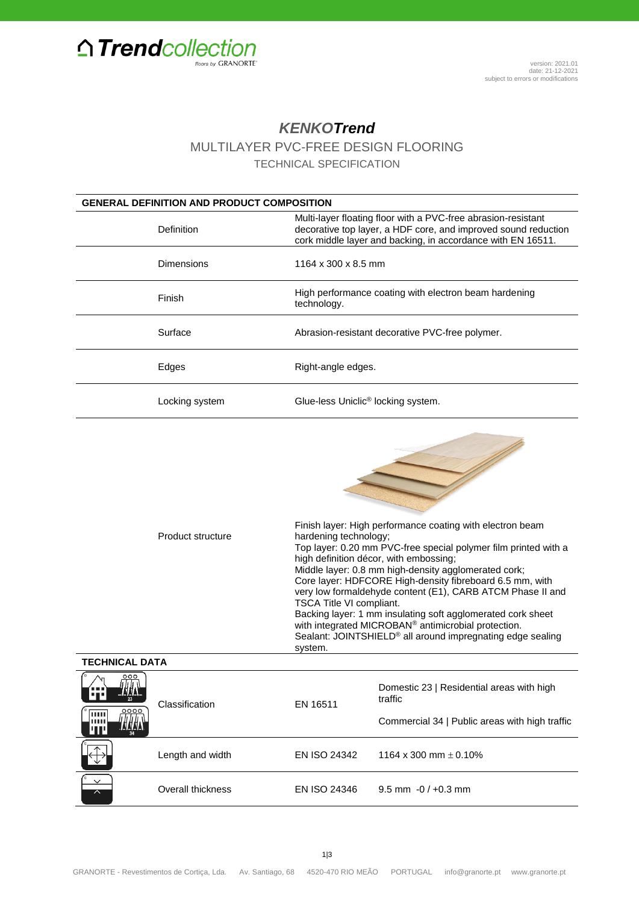

## *KENKOTrend*

MULTILAYER PVC-FREE DESIGN FLOORING

TECHNICAL SPECIFICATION

| <b>GENERAL DEFINITION AND PRODUCT COMPOSITION</b> |                                                                                                                                                                                                |  |  |
|---------------------------------------------------|------------------------------------------------------------------------------------------------------------------------------------------------------------------------------------------------|--|--|
| Definition                                        | Multi-layer floating floor with a PVC-free abrasion-resistant<br>decorative top layer, a HDF core, and improved sound reduction<br>cork middle layer and backing, in accordance with EN 16511. |  |  |
| Dimensions                                        | 1164 x 300 x 8.5 mm                                                                                                                                                                            |  |  |
| Finish                                            | High performance coating with electron beam hardening<br>technology.                                                                                                                           |  |  |
| Surface                                           | Abrasion-resistant decorative PVC-free polymer.                                                                                                                                                |  |  |
| Edges                                             | Right-angle edges.                                                                                                                                                                             |  |  |
| Locking system                                    | Glue-less Uniclic <sup>®</sup> locking system.                                                                                                                                                 |  |  |

| Product structure | Finish layer: High performance coating with electron beam<br>hardening technology;<br>Top layer: 0.20 mm PVC-free special polymer film printed with a<br>high definition décor, with embossing;<br>Middle layer: 0.8 mm high-density agglomerated cork;<br>Core layer: HDFCORE High-density fibreboard 6.5 mm, with<br>very low formaldehyde content (E1), CARB ATCM Phase II and<br><b>TSCA Title VI compliant.</b> |
|-------------------|----------------------------------------------------------------------------------------------------------------------------------------------------------------------------------------------------------------------------------------------------------------------------------------------------------------------------------------------------------------------------------------------------------------------|
|                   | Backing layer: 1 mm insulating soft agglomerated cork sheet<br>with integrated MICROBAN® antimicrobial protection.<br>Sealant: JOINTSHIELD <sup>®</sup> all around impregnating edge sealing<br>system.                                                                                                                                                                                                              |

| <b>TECHNICAL DATA</b>                    |                   |                     |                                                      |
|------------------------------------------|-------------------|---------------------|------------------------------------------------------|
| 000<br>Æ<br>حطيبهه<br>23                 | Classification    | EN 16511            | Domestic 23   Residential areas with high<br>traffic |
| 0000<br> uu<br>,,,,,<br>WANA<br>ш<br>34  |                   |                     | Commercial 34   Public areas with high traffic       |
|                                          | Length and width  | <b>EN ISO 24342</b> | 1164 x 300 mm $\pm$ 0.10%                            |
| $\checkmark$<br>$\overline{\phantom{a}}$ | Overall thickness | EN ISO 24346        | 9.5 mm $-0/+0.3$ mm                                  |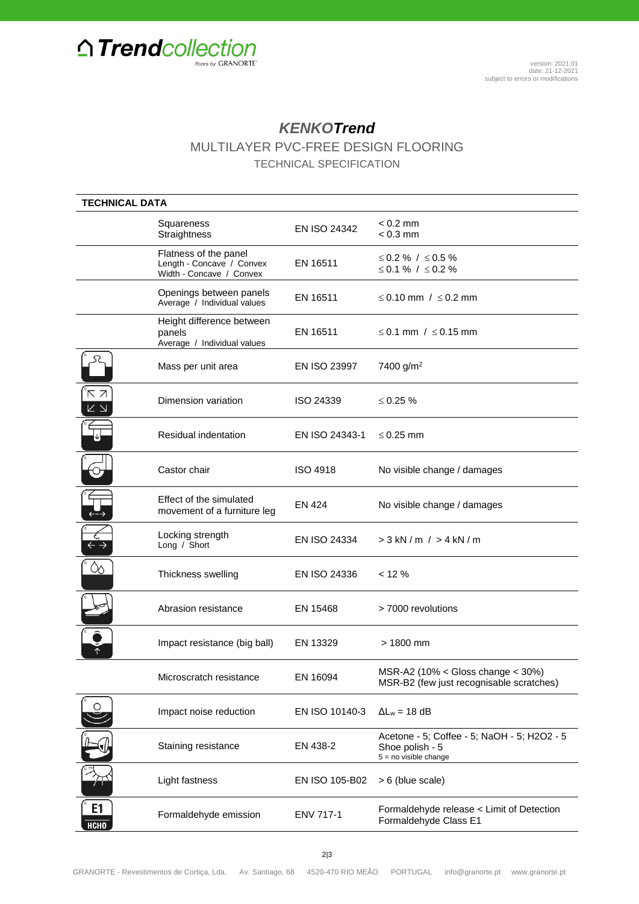

## *KENKOTrend*

MULTILAYER PVC-FREE DESIGN FLOORING

TECHNICAL SPECIFICATION

| <b>TECHNICAL DATA</b>                                 |                                                                                |                 |                                                                                           |
|-------------------------------------------------------|--------------------------------------------------------------------------------|-----------------|-------------------------------------------------------------------------------------------|
|                                                       | Squareness<br>Straightness                                                     | EN ISO 24342    | $< 0.2$ mm<br>$< 0.3$ mm                                                                  |
|                                                       | Flatness of the panel<br>Length - Concave / Convex<br>Width - Concave / Convex | EN 16511        | ≤ 0.2 % / ≤ 0.5 %<br>≤ 0.1 % / ≤ 0.2 %                                                    |
|                                                       | Openings between panels<br>Average / Individual values                         | EN 16511        | $\leq$ 0.10 mm $/$ $\leq$ 0.2 mm                                                          |
|                                                       | Height difference between<br>panels<br>Average / Individual values             | EN 16511        | ≤ 0.1 mm / $\le$ 0.15 mm                                                                  |
|                                                       | Mass per unit area                                                             | EN ISO 23997    | 7400 g/m <sup>2</sup>                                                                     |
| κя<br>$\overline{\mathsf{K}}$ $\overline{\mathsf{N}}$ | Dimension variation                                                            | ISO 24339       | $\leq 0.25 \%$                                                                            |
|                                                       | Residual indentation                                                           | EN ISO 24343-1  | $\leq$ 0.25 mm                                                                            |
|                                                       | Castor chair                                                                   | <b>ISO 4918</b> | No visible change / damages                                                               |
|                                                       | Effect of the simulated<br>movement of a furniture leg                         | EN 424          | No visible change / damages                                                               |
|                                                       | Locking strength<br>Long / Short                                               | EN ISO 24334    | $> 3$ kN / m / $> 4$ kN / m                                                               |
| $\infty$                                              | Thickness swelling                                                             | EN ISO 24336    | < 12 %                                                                                    |
|                                                       | Abrasion resistance                                                            | EN 15468        | > 7000 revolutions                                                                        |
|                                                       | Impact resistance (big ball)                                                   | EN 13329        | $> 1800$ mm                                                                               |
|                                                       | Microscratch resistance                                                        | EN 16094        | MSR-A2 (10% < Gloss change $<$ 30%)<br>MSR-B2 (few just recognisable scratches)           |
|                                                       | Impact noise reduction                                                         | EN ISO 10140-3  | $\Delta L_w = 18$ dB                                                                      |
|                                                       | Staining resistance                                                            | EN 438-2        | Acetone - 5; Coffee - 5; NaOH - 5; H2O2 - 5<br>Shoe polish - 5<br>$5 = no$ visible change |
|                                                       | Light fastness                                                                 | EN ISO 105-B02  | > 6 (blue scale)                                                                          |
| E1<br><b>НСНО</b>                                     | Formaldehyde emission                                                          | ENV 717-1       | Formaldehyde release < Limit of Detection<br>Formaldehyde Class E1                        |